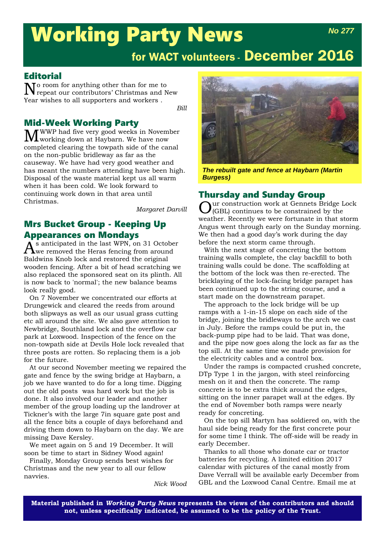## Working Party News *No 277*

# for WACT volunteers - December 2016

#### **Editorial**

No room for anything other than for me to repeat our contributors' Christmas and New Year wishes to all supporters and workers .

*Bill*

**Mid-Week Working Party<br>
The** *T* **WWP** had five very good weeks in November MWWP had five very good weeks in November working down at Haybarn. We have now completed clearing the towpath side of the canal on the non-public bridleway as far as the causeway. We have had very good weather and has meant the numbers attending have been high. Disposal of the waste material kept us all warm when it has been cold. We look forward to continuing work down in that area until Christmas.

*Margaret Darvill*

### Mrs Bucket Group - Keeping Up Appearances on Mondays

 $\tilde{A}$ s anticipated in the last WPN, on 31 October<br>we removed the Heras fencing from around Baldwins Knob lock and restored the original wooden fencing. After a bit of head scratching we also replaced the sponsored seat on its plinth. All is now back to 'normal'; the new balance beams look really good.

On 7 November we concentrated our efforts at Drungewick and cleared the reeds from around both slipways as well as our usual grass cutting etc all around the site. We also gave attention to Newbridge, Southland lock and the overflow car park at Loxwood. Inspection of the fence on the non-towpath side at Devils Hole lock revealed that three posts are rotten. So replacing them is a job for the future.

At our second November meeting we repaired the gate and fence by the swing bridge at Haybarn, a job we have wanted to do for a long time. Digging out the old posts was hard work but the job is done. It also involved our leader and another member of the group loading up the landrover at Tickner's with the large 7in square gate post and all the fence bits a couple of days beforehand and driving them down to Haybarn on the day. We are missing Dave Kersley.

We meet again on 5 and 19 December. It will soon be time to start in Sidney Wood again!

Finally, Monday Group sends best wishes for Christmas and the new year to all our fellow navvies.

*Nick Wood*



*The rebuilt gate and fence at Haybarn (Martin Burgess)*

#### Thursday and Sunday Group

ur construction work at Gennets Bridge Lock (GBL) continues to be constrained by the weather. Recently we were fortunate in that storm Angus went through early on the Sunday morning. We then had a good day's work during the day before the next storm came through.

With the next stage of concreting the bottom training walls complete, the clay backfill to both training walls could be done. The scaffolding at the bottom of the lock was then re-erected. The bricklaying of the lock-facing bridge parapet has been continued up to the string course, and a start made on the downstream parapet.

The approach to the lock bridge will be up ramps with a 1-in-15 slope on each side of the bridge, joining the bridleways to the arch we cast in July. Before the ramps could be put in, the back-pump pipe had to be laid. That was done, and the pipe now goes along the lock as far as the top sill. At the same time we made provision for the electricity cables and a control box.

Under the ramps is compacted crushed concrete, DTp Type 1 in the jargon, with steel reinforcing mesh on it and then the concrete. The ramp concrete is to be extra thick around the edges, sitting on the inner parapet wall at the edges. By the end of November both ramps were nearly ready for concreting.

On the top sill Martyn has soldiered on, with the haul side being ready for the first concrete pour for some time I think. The off-side will be ready in early December.

Thanks to all those who donate car or tractor batteries for recycling. A limited edition 2017 calendar with pictures of the canal mostly from Dave Verrall will be available early December from GBL and the Loxwood Canal Centre. Email me at

**Material published in** *Working Party News* **represents the views of the contributors and should not, unless specifically indicated, be assumed to be the policy of the Trust.**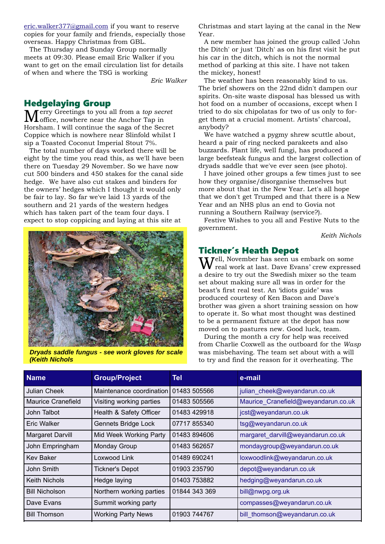eric.walker377@gmail.com if you want to reserve copies for your family and friends, especially those overseas. Happy Christmas from GBL.

The Thursday and Sunday Group normally meets at 09:30. Please email Eric Walker if you want to get on the email circulation list for details of when and where the TSG is working

*Eric Walker*

#### Hedgelaying Group

 $M_{\text{office, nowhere near the Anchor Tap in}}^{\text{erry Greetings to you all from a top secret}}$ Horsham. I will continue the saga of the Secret Coppice which is nowhere near Slinfold whilst I sip a Toasted Coconut Imperial Stout 7%.

The total number of days worked there will be eight by the time you read this, as we'll have been there on Tuesday 29 November. So we have now cut 500 binders and 450 stakes for the canal side hedge. We have also cut stakes and binders for the owners' hedges which I thought it would only be fair to lay. So far we've laid 13 yards of the southern and 21 yards of the western hedges which has taken part of the team four days. I expect to stop coppicing and laying at this site at



*Dryads saddle fungus - see work gloves for scale (Keith Nichols*

Christmas and start laying at the canal in the New Year.

A new member has joined the group called 'John the Ditch' or just 'Ditch' as on his first visit he put his car in the ditch, which is not the normal method of parking at this site. I have not taken the mickey, honest!

The weather has been reasonably kind to us. The brief showers on the 22nd didn't dampen our spirits. On-site waste disposal has blessed us with hot food on a number of occasions, except when I tried to do six chipolatas for two of us only to forget them at a crucial moment. Artists' charcoal, anybody?

We have watched a pygmy shrew scuttle about, heard a pair of ring necked parakeets and also buzzards. Plant life, well fungi, has produced a large beefsteak fungus and the largest collection of dryads saddle that we've ever seen (see photo).

I have joined other groups a few times just to see how they organise/disorganise themselves but more about that in the New Year. Let's all hope that we don't get Trumped and that there is a New Year and an NHS plus an end to Govia not running a Southern Railway (service?).

Festive Wishes to you all and Festive Nuts to the government.

*Keith Nichols*

#### Tickner's Heath Depot

 $7$ ell, November has seen us embark on some real work at last. Dave Evans' crew expressed a desire to try out the Swedish mixer so the team set about making sure all was in order for the beast's first real test. An 'idiots guide' was produced courtesy of Ken Bacon and Dave's brother was given a short training session on how to operate it. So what most thought was destined to be a permanent fixture at the depot has now moved on to pastures new. Good luck, team.

During the month a cry for help was received from Charlie Coxwell as the outboard for the *Wasp* was misbehaving. The team set about with a will to try and find the reason for it overheating. The

| <b>Name</b>             | <b>Group/Project</b>      | Tel           | e-mail                              |
|-------------------------|---------------------------|---------------|-------------------------------------|
| <b>Julian Cheek</b>     | Maintenance coordination  | 01483 505566  | julian cheek@weyandarun.co.uk       |
| Maurice Cranefield      | Visiting working parties  | 01483 505566  | Maurice Cranefield@weyandarun.co.uk |
| John Talbot             | Health & Safety Officer   | 01483 429918  | jcst@weyandarun.co.uk               |
| Eric Walker             | Gennets Bridge Lock       | 07717 855340  | tsg@weyandarun.co.uk                |
| <b>Margaret Darvill</b> | Mid Week Working Party    | 01483 894606  | margaret_darvill@weyandarun.co.uk   |
| John Empringham         | Monday Group              | 01483 562657  | mondaygroup@weyandarun.co.uk        |
| <b>Kev Baker</b>        | Loxwood Link              | 01489 690241  | loxwoodlink@weyandarun.co.uk        |
| John Smith              | <b>Tickner's Depot</b>    | 01903 235790  | depot@weyandarun.co.uk              |
| Keith Nichols           | Hedge laying              | 01403 753882  | hedging@weyandarun.co.uk            |
| <b>Bill Nicholson</b>   | Northern working parties  | 01844 343 369 | bill@nwpg.org.uk                    |
| Dave Evans              | Summit working party      |               | compasses@weyandarun.co.uk          |
| <b>Bill Thomson</b>     | <b>Working Party News</b> | 01903 744767  | bill_thomson@weyandarun.co.uk       |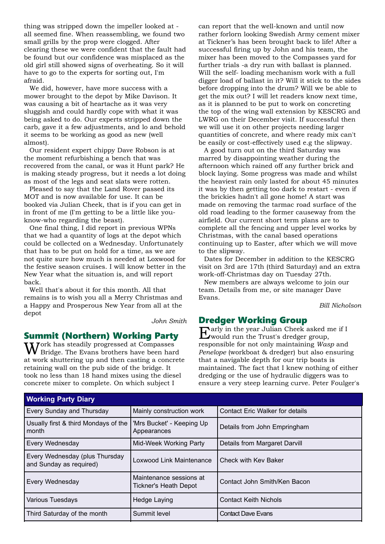thing was stripped down the impeller looked at all seemed fine. When reassembling, we found two small grills by the prop were clogged. After clearing these we were confident that the fault had be found but our confidence was misplaced as the old girl still showed signs of overheating. So it will have to go to the experts for sorting out, I'm afraid.

We did, however, have more success with a mower brought to the depot by Mike Davison. It was causing a bit of heartache as it was very sluggish and could hardly cope with what it was being asked to do. Our experts stripped down the carb, gave it a few adjustments, and lo and behold it seems to be working as good as new (well almost).

Our resident expert chippy Dave Robson is at the moment refurbishing a bench that was recovered from the canal, or was it Hunt park? He is making steady progress, but it needs a lot doing as most of the legs and seat slats were rotten.

Pleased to say that the Land Rover passed its MOT and is now available for use. It can be booked via Julian Cheek, that is if you can get in in front of me (I'm getting to be a little like youknow-who regarding the beast).

One final thing, I did report in previous WPNs that we had a quantity of logs at the depot which could be collected on a Wednesday. Unfortunately that has to be put on hold for a time, as we are not quite sure how much is needed at Loxwood for the festive season cruises. I will know better in the New Year what the situation is, and will report back.

Well that's about it for this month. All that remains is to wish you all a Merry Christmas and a Happy and Prosperous New Year from all at the depot

*John Smith*

#### Summit (Northern) Working Party

 $W^{\text{ork}}$  has steadily progressed at Compasses Bridge. The Evans brothers have been hard at work shuttering up and then casting a concrete retaining wall on the pub side of the bridge. It took no less than 18 hand mixes using the diesel concrete mixer to complete. On which subject I

can report that the well-known and until now rather forlorn looking Swedish Army cement mixer at Tickner's has been brought back to life! After a successful firing up by John and his team, the mixer has been moved to the Compasses yard for further trials -a dry run with ballast is planned. Will the self- loading mechanism work with a full digger load of ballast in it? Will it stick to the sides before dropping into the drum? Will we be able to get the mix out? I will let readers know next time, as it is planned to be put to work on concreting the top of the wing wall extension by KESCRG and LWRG on their December visit. If successful then we will use it on other projects needing larger quantities of concrete, and where ready mix can't be easily or cost-effectively used e.g the slipway.

A good turn out on the third Saturday was marred by disappointing weather during the afternoon which rained off any further brick and block laying. Some progress was made and whilst the heaviest rain only lasted for about 45 minutes it was by then getting too dark to restart - even if the brickies hadn't all gone home! A start was made on removing the tarmac road surface of the old road leading to the former causeway from the airfield. Our current short term plans are to complete all the fencing and upper level works by Christmas, with the canal based operations continuing up to Easter, after which we will move to the slipway.

Dates for December in addition to the KESCRG visit on 3rd are 17th (third Saturday) and an extra work-off-Christmas day on Tuesday 27th.

New members are always welcome to join our team. Details from me, or site manager Dave Evans.

*Bill Nicholson*

#### Dredger Working Group

Early in the year Julian Cheek asked me if I would run the Trust's dredger group, responsible for not only maintaining *Wasp* and *Penelope* (workboat & dredger) but also ensuring that a navigable depth for our trip boats is maintained. The fact that I knew nothing of either dredging or the use of hydraulic diggers was to ensure a very steep learning curve. Peter Foulger's

| <b>Working Party Diary</b>                                |                                                  |                                        |  |  |
|-----------------------------------------------------------|--------------------------------------------------|----------------------------------------|--|--|
| Every Sunday and Thursday                                 | Mainly construction work                         | <b>Contact Eric Walker for details</b> |  |  |
| Usually first & third Mondays of the<br>month             | 'Mrs Bucket' - Keeping Up<br>Appearances         | Details from John Empringham           |  |  |
| Every Wednesday                                           | Mid-Week Working Party                           | <b>Details from Margaret Darvill</b>   |  |  |
| Every Wednesday (plus Thursday<br>and Sunday as required) | Loxwood Link Maintenance                         | l Check with Kev Baker                 |  |  |
| Every Wednesday                                           | Maintenance sessions at<br>Tickner's Heath Depot | Contact John Smith/Ken Bacon           |  |  |
| Various Tuesdays                                          | <b>Hedge Laying</b>                              | <b>Contact Keith Nichols</b>           |  |  |
| Third Saturday of the month                               | Summit level                                     | <b>Contact Dave Evans</b>              |  |  |